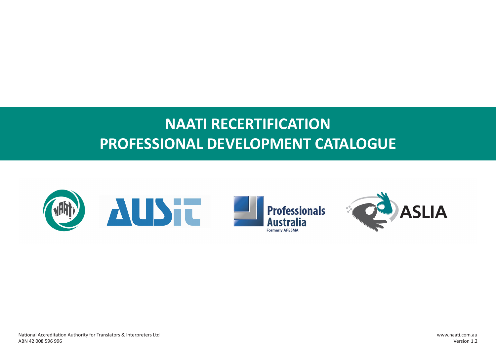# **NAATI RECERTIFICATION PROFESSIONAL DEVELOPMENT CATALOGUE**

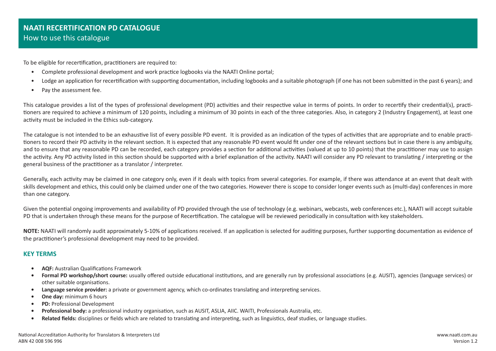To be eligible for recertification, practitioners are required to:

- Complete professional development and work practice logbooks via the NAATI Online portal;
- Lodge an application for recertification with supporting documentation, including logbooks and a suitable photograph (if one has not been submitted in the past 6 years); and
- Pay the assessment fee.

This catalogue provides a list of the types of professional development (PD) activities and their respective value in terms of points. In order to recertify their credential(s), practitioners are required to achieve a minimum of 120 points, including a minimum of 30 points in each of the three categories. Also, in category 2 (Industry Engagement), at least one activity must be included in the Ethics sub-category.

The catalogue is not intended to be an exhaustive list of every possible PD event. It is provided as an indication of the types of activities that are appropriate and to enable practitioners to record their PD activity in the relevant section. It is expected that any reasonable PD event would fit under one of the relevant sections but in case there is any ambiguity, and to ensure that any reasonable PD can be recorded, each category provides a section for additional activities (valued at up to 10 points) that the practitioner may use to assign the activity. Any PD activity listed in this section should be supported with a brief explanation of the activity. NAATI will consider any PD relevant to translating / interpreting or the general business of the practitioner as a translator / interpreter.

Generally, each activity may be claimed in one category only, even if it deals with topics from several categories. For example, if there was attendance at an event that dealt with skills development and ethics, this could only be claimed under one of the two categories. However there is scope to consider longer events such as (multi-day) conferences in more than one category.

Given the potential ongoing improvements and availability of PD provided through the use of technology (e.g. webinars, webcasts, web conferences etc.), NAATI will accept suitable PD that is undertaken through these means for the purpose of Recertification. The catalogue will be reviewed periodically in consultation with key stakeholders.

**NOTE:** NAATI will randomly audit approximately 5-10% of applications received. If an application is selected for auditing purposes, further supporting documentation as evidence of the practitioner's professional development may need to be provided.

#### **KEY TERMS**

- **• AQF:** Australian Qualifications Framework
- **• Formal PD workshop/short course:** usually offered outside educational institutions, and are generally run by professional associations (e.g. AUSIT), agencies (language services) or other suitable organisations.
- **• Language service provider:** a private or government agency, which co-ordinates translating and interpreting services.
- **• One day:** minimum 6 hours
- **• PD:** Professional Development
- **• Professional body:** a professional industry organisation, such as AUSIT, ASLIA, AIIC. WAITI, Professionals Australia, etc.
- **• Related fields:** disciplines or fields which are related to translating and interpreting, such as linguistics, deaf studies, or language studies.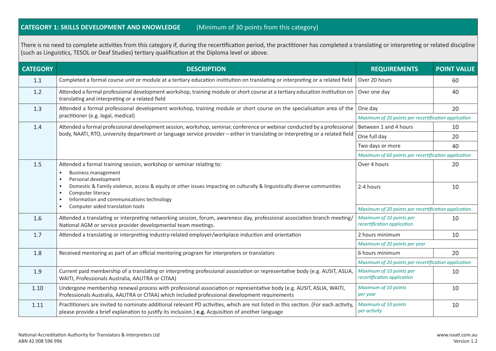## **CATEGORY 1: SKILLS DEVELOPMENT AND KNOWLEDGE** (Minimum of 30 points from this category)

There is no need to complete activities from this category if, during the recertification period, the practitioner has completed a translating or interpreting or related discipline (such as Linguistics, TESOL or Deaf Studies) tertiary qualification at the Diploma level or above.

| <b>CATEGORY</b> | <b>DESCRIPTION</b>                                                                                                                                                                                                                                          | <b>REQUIREMENTS</b>                                     | <b>POINT VALUE</b> |
|-----------------|-------------------------------------------------------------------------------------------------------------------------------------------------------------------------------------------------------------------------------------------------------------|---------------------------------------------------------|--------------------|
| 1.1             | Completed a formal course unit or module at a tertiary education institution on translating or interpreting or a related field                                                                                                                              | Over 20 hours                                           | 60                 |
| 1.2             | Attended a formal professional development workshop, training module or short course at a tertiary education institution on<br>translating and interpreting or a related field                                                                              | Over one day                                            | 40                 |
| 1.3             | Attended a formal professional development workshop, training module or short course on the specialisation area of the                                                                                                                                      | One day                                                 | 20                 |
|                 | practitioner (e.g. legal, medical)                                                                                                                                                                                                                          | Maximum of 20 points per recertification application    |                    |
| 1.4             | Attended a formal professional development session, workshop, seminar, conference or webinar conducted by a professional<br>body, NAATI, RTO, university department or language service provider - either in translating or interpreting or a related field | Between 1 and 4 hours                                   | 10                 |
|                 |                                                                                                                                                                                                                                                             | One full day                                            | 20                 |
|                 |                                                                                                                                                                                                                                                             | Two days or more                                        | 40                 |
|                 |                                                                                                                                                                                                                                                             | Maximum of 60 points per recertification application    |                    |
| 1.5             | Attended a formal training session, workshop or seminar relating to:                                                                                                                                                                                        | Over 4 hours                                            | 20                 |
|                 | <b>Business management</b><br>$\bullet$                                                                                                                                                                                                                     |                                                         |                    |
|                 | Personal development<br>$\bullet$<br>Domestic & Family violence, access & equity or other issues impacting on culturally & linguistically diverse communities<br>$\bullet$                                                                                  | 2-4 hours                                               | 10                 |
|                 | Computer literacy                                                                                                                                                                                                                                           |                                                         |                    |
|                 | Information and communications technology                                                                                                                                                                                                                   |                                                         |                    |
|                 | Computer aided translation tools                                                                                                                                                                                                                            | Maximum of 20 points per recertification application    |                    |
| 1.6             | Attended a translating or interpreting networking session, forum, awareness day, professional association branch meeting/<br>National AGM or service provider developmental team meetings.                                                                  | Maximum of 10 points per<br>recertification application | 10                 |
| 1.7             | Attended a translating or interpreting industry-related employer/workplace induction and orientation                                                                                                                                                        | 2 hours minimum                                         | 10                 |
|                 |                                                                                                                                                                                                                                                             | Maximum of 20 points per year                           |                    |
| 1.8             | Received mentoring as part of an official mentoring program for interpreters or translators                                                                                                                                                                 | 6 hours minimum                                         | 20                 |
|                 |                                                                                                                                                                                                                                                             | Maximum of 20 points per recertification application    |                    |
| 1.9             | Current paid membership of a translating or interpreting professional association or representative body (e.g. AUSIT, ASLIA<br>WAITI, Professionals Australia, AALITRA or CITAA)                                                                            | Maximum of 10 points per<br>recertification application | 10                 |
| 1.10            | Undergone membership renewal process with professional association or representative body (e.g. AUSIT, ASLIA, WAITI,<br>Professionals Australia, AALITRA or CITAA) which included professional development requirements                                     | <b>Maximum of 10 points</b><br>per year                 | 10                 |
| 1.11            | Practitioners are invited to nominate additional relevant PD activities, which are not listed in this section. (For each activity,<br>please provide a brief explanation to justify its inclusion.) e.g. Acquisition of another language                    | <b>Maximum of 10 points</b><br>per activity             | 10                 |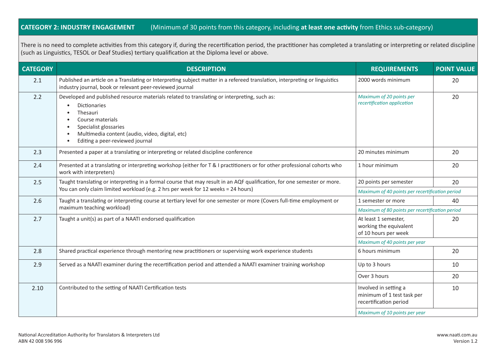### **CATEGORY 2: INDUSTRY ENGAGEMENT** (Minimum of 30 points from this category, including **at least one activity** from Ethics sub-category)

There is no need to complete activities from this category if, during the recertification period, the practitioner has completed a translating or interpreting or related discipline (such as Linguistics, TESOL or Deaf Studies) tertiary qualification at the Diploma level or above.

| <b>CATEGORY</b> | <b>DESCRIPTION</b>                                                                                                                                                                                                                                                                  | <b>REQUIREMENTS</b>                                                           | <b>POINT VALUE</b> |
|-----------------|-------------------------------------------------------------------------------------------------------------------------------------------------------------------------------------------------------------------------------------------------------------------------------------|-------------------------------------------------------------------------------|--------------------|
| 2.1             | Published an article on a Translating or Interpreting subject matter in a refereed translation, interpreting or linguistics<br>industry journal, book or relevant peer-reviewed journal                                                                                             | 2000 words minimum                                                            | 20                 |
| 2.2             | Developed and published resource materials related to translating or interpreting, such as:<br><b>Dictionaries</b><br>$\bullet$<br>Thesauri<br>Course materials<br>Specialist glossaries<br>Multimedia content (audio, video, digital, etc)<br>Editing a peer-reviewed journal<br>٠ | Maximum of 20 points per<br>recertification application                       | 20                 |
| 2.3             | Presented a paper at a translating or interpreting or related discipline conference                                                                                                                                                                                                 | 20 minutes minimum                                                            | 20                 |
| 2.4             | Presented at a translating or interpreting workshop (either for T & I practitioners or for other professional cohorts who<br>work with interpreters)                                                                                                                                | 1 hour minimum                                                                | 20                 |
| 2.5             | Taught translating or interpreting in a formal course that may result in an AQF qualification, for one semester or more.<br>You can only claim limited workload (e.g. 2 hrs per week for 12 weeks = 24 hours)                                                                       | 20 points per semester                                                        | 20                 |
|                 |                                                                                                                                                                                                                                                                                     | Maximum of 40 points per recertification period                               |                    |
| 2.6             | Taught a translating or interpreting course at tertiary level for one semester or more (Covers full-time employment or                                                                                                                                                              | 1 semester or more                                                            | 40                 |
|                 | maximum teaching workload)                                                                                                                                                                                                                                                          | Maximum of 80 points per recertification period                               |                    |
| 2.7             | Taught a unit(s) as part of a NAATI endorsed qualification                                                                                                                                                                                                                          | At least 1 semester,<br>working the equivalent<br>of 10 hours per week        | 20                 |
|                 |                                                                                                                                                                                                                                                                                     | Maximum of 40 points per year                                                 |                    |
| 2.8             | Shared practical experience through mentoring new practitioners or supervising work experience students                                                                                                                                                                             | 6 hours minimum                                                               | 20                 |
| 2.9             | Served as a NAATI examiner during the recertification period and attended a NAATI examiner training workshop                                                                                                                                                                        | Up to 3 hours                                                                 | 10                 |
|                 |                                                                                                                                                                                                                                                                                     | Over 3 hours                                                                  | 20                 |
| 2.10            | Contributed to the setting of NAATI Certification tests                                                                                                                                                                                                                             | Involved in setting a<br>minimum of 1 test task per<br>recertification period | 10                 |
|                 |                                                                                                                                                                                                                                                                                     | Maximum of 10 points per year                                                 |                    |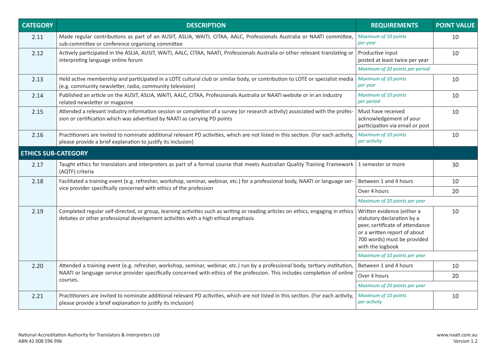| <b>CATEGORY</b>            | <b>DESCRIPTION</b>                                                                                                                                                                                                                                                        | <b>REQUIREMENTS</b>                                                                                                                                                            | <b>POINT VALUE</b> |
|----------------------------|---------------------------------------------------------------------------------------------------------------------------------------------------------------------------------------------------------------------------------------------------------------------------|--------------------------------------------------------------------------------------------------------------------------------------------------------------------------------|--------------------|
| 2.11                       | Made regular contributions as part of an AUSIT, ASLIA, WAITI, CITAA, AALC, Professionals Australia or NAATI committee,<br>sub-committee or conference organising committee                                                                                                | <b>Maximum of 10 points</b><br>per year                                                                                                                                        | 10                 |
| 2.12                       | Actively participated in the ASLIA, AUSIT, WAITI, AALC, CITAA, NAATI, Professionals Australia or other relevant translating or<br>interpreting language online forum                                                                                                      | Productive input<br>posted at least twice per year                                                                                                                             | 10                 |
|                            |                                                                                                                                                                                                                                                                           | Maximum of 20 points per period                                                                                                                                                |                    |
| 2.13                       | Held active membership and participated in a LOTE cultural club or similar body, or contribution to LOTE or specialist media<br>(e.g. community newsletter, radio, community television)                                                                                  | Maximum of 10 points<br>per year                                                                                                                                               | 10                 |
| 2.14                       | Published an article on the AUSIT, ASLIA, WAITI, AALC, CITAA, Professionals Australia or NAATI website or in an industry<br>related newsletter or magazine                                                                                                                | Maximum of 10 points<br>per period                                                                                                                                             | 10                 |
| 2.15                       | Attended a relevant industry information session or completion of a survey (or research activity) associated with the profes-<br>sion or certification which was advertised by NAATI as carrying PD points                                                                | Must have received<br>acknowledgement of your<br>participation via email or post                                                                                               | 10                 |
| 2.16                       | Practitioners are invited to nominate additional relevant PD activities, which are not listed in this section. (For each activity,<br>please provide a brief explanation to justify its inclusion)                                                                        | Maximum of 10 points<br>per activity                                                                                                                                           | 10                 |
| <b>ETHICS SUB-CATEGORY</b> |                                                                                                                                                                                                                                                                           |                                                                                                                                                                                |                    |
| 2.17                       | Taught ethics for translators and interpreters as part of a formal course that meets Australian Quality Training Framework   1 semester or more<br>(AQTF) criteria                                                                                                        |                                                                                                                                                                                | 30                 |
| 2.18                       | Facilitated a training event (e.g. refresher, workshop, seminar, webinar, etc.) for a professional body, NAATI or language ser-<br>vice provider specifically concerned with ethics of the profession                                                                     | Between 1 and 4 hours                                                                                                                                                          | 10                 |
|                            |                                                                                                                                                                                                                                                                           | Over 4 hours                                                                                                                                                                   | 20                 |
|                            |                                                                                                                                                                                                                                                                           | Maximum of 20 points per year                                                                                                                                                  |                    |
| 2.19                       | Completed regular self-directed, or group, learning activities such as writing or reading articles on ethics, engaging in ethics<br>debates or other professional development activities with a high ethical emphasis                                                     | Written evidence (either a<br>statutory declaration by a<br>peer, certificate of attendance<br>or a written report of about<br>700 words) must be provided<br>with the logbook | 10                 |
|                            |                                                                                                                                                                                                                                                                           | Maximum of 10 points per year                                                                                                                                                  |                    |
| 2.20                       | Attended a training event (e.g. refresher, workshop, seminar, webinar, etc.) run by a professional body, tertiary institution,<br>NAATI or language service provider specifically concerned with ethics of the profession. This includes completion of online<br>courses. | Between 1 and 4 hours                                                                                                                                                          | 10                 |
|                            |                                                                                                                                                                                                                                                                           | Over 4 hours                                                                                                                                                                   | 20                 |
|                            |                                                                                                                                                                                                                                                                           | Maximum of 20 points per year                                                                                                                                                  |                    |
| 2.21                       | Practitioners are invited to nominate additional relevant PD activities, which are not listed in this section. (For each activity,<br>please provide a brief explanation to justify its inclusion)                                                                        | Maximum of 10 points<br>per activity                                                                                                                                           | 10                 |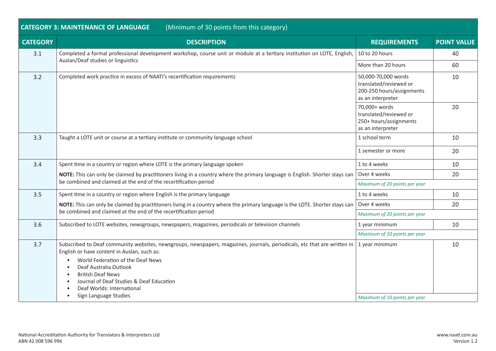| (Minimum of 30 points from this category)<br><b>CATEGORY 3: MAINTENANCE OF LANGUAGE</b>                                                                                                                                                                             |                                                                                                 |                                                                                                                                                                                                                                                                                                                                                                                                                      |  |
|---------------------------------------------------------------------------------------------------------------------------------------------------------------------------------------------------------------------------------------------------------------------|-------------------------------------------------------------------------------------------------|----------------------------------------------------------------------------------------------------------------------------------------------------------------------------------------------------------------------------------------------------------------------------------------------------------------------------------------------------------------------------------------------------------------------|--|
| <b>DESCRIPTION</b>                                                                                                                                                                                                                                                  | <b>REQUIREMENTS</b>                                                                             | <b>POINT VALUE</b>                                                                                                                                                                                                                                                                                                                                                                                                   |  |
| Auslan/Deaf studies or linguistics                                                                                                                                                                                                                                  | 10 to 20 hours                                                                                  | 40                                                                                                                                                                                                                                                                                                                                                                                                                   |  |
|                                                                                                                                                                                                                                                                     | More than 20 hours                                                                              | 60                                                                                                                                                                                                                                                                                                                                                                                                                   |  |
| Completed work practice in excess of NAATI's recertification requirements                                                                                                                                                                                           | 50,000-70,000 words<br>translated/reviewed or<br>200-250 hours/assignments<br>as an interpreter | 10                                                                                                                                                                                                                                                                                                                                                                                                                   |  |
|                                                                                                                                                                                                                                                                     | 70,000+ words<br>translated/reviewed or<br>250+ hours/assignments<br>as an interpreter          | 20                                                                                                                                                                                                                                                                                                                                                                                                                   |  |
| Taught a LOTE unit or course at a tertiary institute or community language school                                                                                                                                                                                   | 1 school term                                                                                   | 10                                                                                                                                                                                                                                                                                                                                                                                                                   |  |
|                                                                                                                                                                                                                                                                     | 1 semester or more                                                                              | 20                                                                                                                                                                                                                                                                                                                                                                                                                   |  |
| Spent time in a country or region where LOTE is the primary language spoken                                                                                                                                                                                         | 1 to 4 weeks                                                                                    | 10                                                                                                                                                                                                                                                                                                                                                                                                                   |  |
| be combined and claimed at the end of the recertification period                                                                                                                                                                                                    | Over 4 weeks                                                                                    | 20                                                                                                                                                                                                                                                                                                                                                                                                                   |  |
|                                                                                                                                                                                                                                                                     | Maximum of 20 points per year                                                                   |                                                                                                                                                                                                                                                                                                                                                                                                                      |  |
| Spent time in a country or region where English is the primary language                                                                                                                                                                                             | 1 to 4 weeks                                                                                    | 10                                                                                                                                                                                                                                                                                                                                                                                                                   |  |
| NOTE: This can only be claimed by practitioners living in a country where the primary language is the LOTE. Shorter stays can<br>be combined and claimed at the end of the recertification period                                                                   | Over 4 weeks                                                                                    | 20                                                                                                                                                                                                                                                                                                                                                                                                                   |  |
|                                                                                                                                                                                                                                                                     | Maximum of 20 points per year                                                                   |                                                                                                                                                                                                                                                                                                                                                                                                                      |  |
| Subscribed to LOTE websites, newsgroups, newspapers, magazines, periodicals or television channels                                                                                                                                                                  | 1 year minimum                                                                                  | 10                                                                                                                                                                                                                                                                                                                                                                                                                   |  |
|                                                                                                                                                                                                                                                                     | Maximum of 10 points per year                                                                   |                                                                                                                                                                                                                                                                                                                                                                                                                      |  |
| English or have content in Auslan, such as:<br>World Federation of the Deaf News<br>Deaf Australia Outlook<br>$\bullet$<br><b>British Deaf News</b><br>Journal of Deaf Studies & Deaf Education<br>Deaf Worlds: International<br>Sign Language Studies<br>$\bullet$ | 1 year minimum                                                                                  | 10                                                                                                                                                                                                                                                                                                                                                                                                                   |  |
|                                                                                                                                                                                                                                                                     |                                                                                                 | Completed a formal professional development workshop, course unit or module at a tertiary institution on LOTE, English,<br>NOTE: This can only be claimed by practitioners living in a country where the primary language is English. Shorter stays can<br>Subscribed to Deaf community websites, newsgroups, newspapers, magazines, journals, periodicals, etc that are written in<br>Maximum of 10 points per year |  |